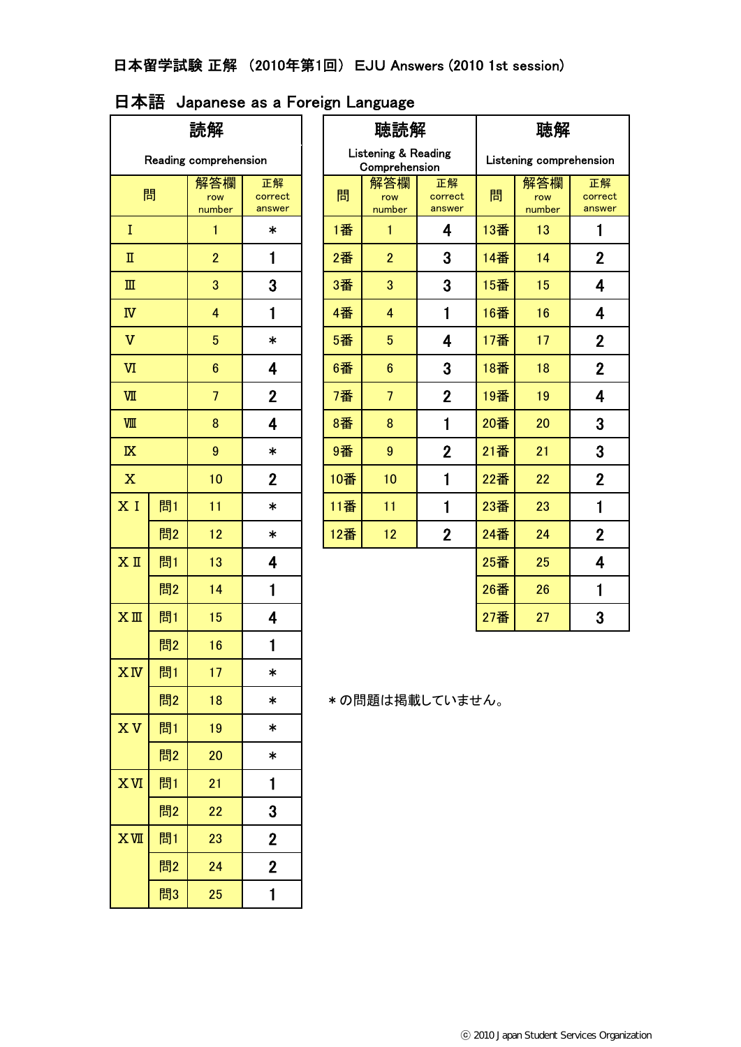# 日本語 Japanese as a Foreign Language

| 読解                                          |    |                 |                         | 聴読解 |                |                                                 | 聴解                      |                         |                      |                         |
|---------------------------------------------|----|-----------------|-------------------------|-----|----------------|-------------------------------------------------|-------------------------|-------------------------|----------------------|-------------------------|
| Reading comprehension                       |    |                 |                         |     |                | <b>Listening &amp; Reading</b><br>Comprehension |                         | Listening comprehension |                      |                         |
| 解答欄<br>問<br>row<br>number                   |    |                 | 正解<br>correct<br>answer |     | 問              | 解答欄<br>row<br>number                            | 正解<br>correct<br>answer | 問                       | 解答欄<br>row<br>number | 正解<br>correct<br>answer |
| I                                           |    | 1               | $\ast$                  |     | 1番             | 1                                               | 4                       | 13番                     | 13                   | 1                       |
| $\rm I\hspace{-0.5mm}I$                     |    | $\overline{2}$  | $\mathbf{1}$            |     | 2番             | $\overline{2}$                                  | 3                       | 14番                     | 14                   | $\mathbf{2}$            |
| $\rm I\hspace{-.1em}I\hspace{-.1em}I$       |    | 3               | 3                       |     | 3番             | 3                                               | 3                       | 15番                     | 15                   | 4                       |
| $\ensuremath{\mathbb{N}}$                   |    | 4               | 1                       |     | 4番             | 4                                               | $\mathbf{1}$            | 16番                     | 16                   | 4                       |
| $\mathbf v$                                 |    | $\overline{5}$  | $\ast$                  |     | 5番             | $\overline{5}$                                  | 4                       | 17番                     | 17                   | $\mathbf{2}$            |
| W                                           |    | $6\phantom{.}6$ | 4                       |     | 6番             | $\boldsymbol{6}$                                | 3                       | 18番                     | 18                   | $\mathbf 2$             |
| $\overline{W}$                              |    | $\overline{7}$  | $\overline{2}$          |     | 7番             | $\overline{7}$                                  | $\mathbf 2$             | 19番                     | 19                   | 4                       |
| VШ                                          |    | 8               | $\overline{\mathbf{4}}$ |     | 8番             | 8                                               | $\mathbf{1}$            | 20番                     | 20                   | 3                       |
| $\boldsymbol{9}$<br>$\overline{\mathbf{K}}$ |    | $\ast$          |                         | 9番  | 9              | $\mathbf 2$                                     | 21番                     | 21                      | 3                    |                         |
| $\mathbf X$                                 |    | 10              | $\overline{2}$          |     | 10番            | 10                                              | $\mathbf{1}$            | 22番                     | 22                   | $\mathbf{2}$            |
| X I                                         | 問1 | 11              | $\ast$                  |     | 11番            | 11                                              | $\mathbf{1}$            | 23番                     | 23                   | $\mathbf{1}$            |
|                                             | 問2 | 12              | $\ast$                  |     | 12番            | 12                                              | $\overline{2}$          | 24番                     | 24                   | $\overline{2}$          |
| $X$ II                                      | 問1 | 13              | 4                       |     |                |                                                 |                         | 25番                     | 25                   | 4                       |
|                                             | 問2 | 14              | 1                       |     |                |                                                 |                         | 26番                     | 26                   | $\mathbf{1}$            |
| $X \nightharpoonup$                         | 問1 | 15              | $\overline{\mathbf{4}}$ |     |                |                                                 |                         | 27番                     | 27                   | 3                       |
|                                             | 問2 | 16              | $\mathbf{1}$            |     |                |                                                 |                         |                         |                      |                         |
| $X_{N}$                                     | 問1 | 17              | $\ast$                  |     |                |                                                 |                         |                         |                      |                         |
|                                             | 問2 | 18              | $\ast$                  |     | *の問題は掲載していません。 |                                                 |                         |                         |                      |                         |
| <b>XV</b>                                   | 問1 | 19              | $\ast$                  |     |                |                                                 |                         |                         |                      |                         |
|                                             | 問2 | 20              | $\ast$                  |     |                |                                                 |                         |                         |                      |                         |
| <b>XVI</b>                                  | 問1 | 21              | 1                       |     |                |                                                 |                         |                         |                      |                         |
|                                             | 問2 | 22              | 3                       |     |                |                                                 |                         |                         |                      |                         |
| IXX                                         | 問1 | 23              | $\overline{2}$          |     |                |                                                 |                         |                         |                      |                         |
|                                             | 問2 | 24              | $\mathbf{2}$            |     |                |                                                 |                         |                         |                      |                         |
|                                             | 問3 | 25              | 1                       |     |                |                                                 |                         |                         |                      |                         |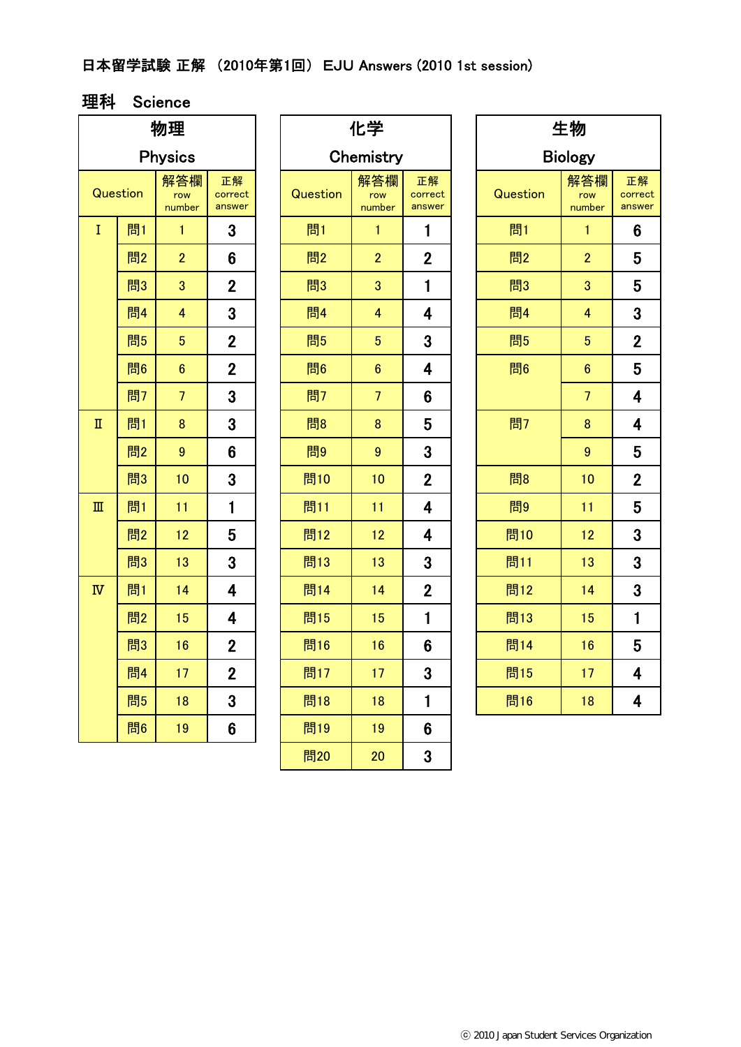## 日本留学試験 正解 (2010年第1回) EJU Answers (2010 1st session)

#### 理科 Science

| 物理                      |          |                      |                         |  |  |  |  |
|-------------------------|----------|----------------------|-------------------------|--|--|--|--|
| <b>Physics</b>          |          |                      |                         |  |  |  |  |
|                         | Question | 解答欄<br>row<br>number | 正解<br>correct<br>answer |  |  |  |  |
| Ī                       | 問1       | 1                    | 3                       |  |  |  |  |
|                         | 問2       | $\overline{2}$       | 6                       |  |  |  |  |
|                         | 問3       | 3                    | $\mathbf{2}$            |  |  |  |  |
|                         | 問4       | $\overline{4}$       | 3                       |  |  |  |  |
|                         | 問5       | 5                    | $\overline{2}$          |  |  |  |  |
|                         | 問6       | $\overline{6}$       | $\overline{2}$          |  |  |  |  |
|                         | 問7       | $\overline{7}$       | 3                       |  |  |  |  |
| $\overline{\mathbf{u}}$ | 問1       | 8                    | 3                       |  |  |  |  |
|                         | 問2       | 9                    | 6                       |  |  |  |  |
|                         | 問3       | 10                   | 3                       |  |  |  |  |
| $\mathbb{I}$            | 問1       | 11                   | $\mathbf{1}$            |  |  |  |  |
|                         | 問2       | 12                   | 5                       |  |  |  |  |
|                         | 問3       | 13                   | 3                       |  |  |  |  |
| $\overline{N}$          | 問1       | 14                   | 4                       |  |  |  |  |
|                         | 問2       | 15                   | 4                       |  |  |  |  |
|                         | 問3       | 16                   | $\overline{2}$          |  |  |  |  |
|                         | 問4       | 17                   | $\overline{2}$          |  |  |  |  |
|                         | 問5       | 18                   | 3                       |  |  |  |  |
|                         | 問6       | 19                   | 6                       |  |  |  |  |

| 物理                                    |    |                         | 化学                      |           |                      |                         | 生物 |                |                         |                   |  |
|---------------------------------------|----|-------------------------|-------------------------|-----------|----------------------|-------------------------|----|----------------|-------------------------|-------------------|--|
|                                       |    | <b>Physics</b>          |                         | Chemistry |                      |                         |    | <b>Biology</b> |                         |                   |  |
| Question                              |    | 解答欄<br>row<br>number    | 正解<br>correct<br>answer | Question  | 解答欄<br>row<br>number | 正解<br>correct<br>answer |    | Question       | 解答欄<br>row<br>number    | 正<br>corr<br>ansv |  |
| $\bf{I}$                              | 問1 | 1                       | $\mathbf{3}$            | 問1        | 1                    | 1                       |    | 問1             | 1                       | 6                 |  |
|                                       | 問2 | $\overline{2}$          | $6\phantom{1}$          | 問2        | $\overline{2}$       | $\overline{2}$          |    | 問2             | $\overline{2}$          | 5                 |  |
|                                       | 問3 | 3                       | $\mathbf{2}$            | 問3        | 3                    | 1                       |    | 問3             | 3                       | 5                 |  |
|                                       | 問4 | $\overline{\mathbf{4}}$ | 3                       | 問4        | $\overline{4}$       | $\overline{\mathbf{4}}$ |    | 問4             | $\overline{\mathbf{4}}$ | 3                 |  |
|                                       | 問5 | $\overline{5}$          | $\overline{2}$          | 問5        | $5\phantom{.0}$      | 3                       |    | 問5             | $5\phantom{.0}$         | $\overline{2}$    |  |
|                                       | 問6 | $6\phantom{.}6$         | $\overline{2}$          | 問6        | $6\phantom{1}$       | $\overline{\mathbf{4}}$ |    | 問6             | $6\phantom{1}$          | 5                 |  |
|                                       | 問7 | $\overline{7}$          | $\overline{3}$          | 問7        | $\overline{7}$       | $6\phantom{1}$          |    |                | $\overline{7}$          | 4                 |  |
| $\rm I\hspace{-0.5mm}I$               | 問1 | $\bf 8$                 | 3                       | 問8        | $\bf 8$              | 5                       |    | 問7             | 8                       | 4                 |  |
|                                       | 問2 | $\boldsymbol{9}$        | 6                       | 問9        | 9                    | 3                       |    |                | $\boldsymbol{9}$        | 5                 |  |
|                                       | 問3 | 10                      | $\mathbf{3}$            | 問10       | 10                   | $\overline{2}$          |    | 問8             | 10                      | $\overline{2}$    |  |
| $\rm I\hspace{-.1em}I\hspace{-.1em}I$ | 問1 | 11                      | 1                       | 問11       | 11                   | 4                       |    | 問9             | 11                      | 5                 |  |
|                                       | 問2 | 12                      | 5                       | 問12       | 12                   | 4                       |    | 問10            | 12                      | 3                 |  |
|                                       | 問3 | 13                      | 3                       | 問13       | 13                   | 3                       |    | 問11            | 13                      | 3                 |  |
| $\overline{N}$                        | 問1 | 14                      | $\overline{\mathbf{4}}$ | 問14       | 14                   | $\mathbf{2}$            |    | 問12            | 14                      | 3                 |  |
|                                       | 問2 | 15                      | 4                       | 問15       | 15                   | 1                       |    | 問13            | 15                      | 1                 |  |
|                                       | 問3 | 16                      | $\overline{2}$          | 問16       | 16                   | $6\phantom{1}6$         |    | 問14            | 16                      | 5                 |  |
|                                       | 問4 | 17                      | $\boldsymbol{2}$        | 問17       | 17 <sup>2</sup>      | $\mathbf{3}$            |    | 問15            | 17                      | 4                 |  |
|                                       | 問5 | 18                      | $\mathbf{3}$            | 問18       | 18                   | 1                       |    | 問16            | 18                      | 4                 |  |
|                                       | 問6 | 19                      | $6\phantom{1}$          | 問19       | 19                   | $6\phantom{1}$          |    |                |                         |                   |  |
|                                       |    |                         |                         | 問20       | 20                   | 3                       |    |                |                         |                   |  |

| 生物             |                      |                         |  |  |  |  |  |  |
|----------------|----------------------|-------------------------|--|--|--|--|--|--|
| <b>Biology</b> |                      |                         |  |  |  |  |  |  |
| Question       | 解答欄<br>row<br>number | 正解<br>correct<br>answer |  |  |  |  |  |  |
| 問1             | 1                    | 6                       |  |  |  |  |  |  |
| 問2             | $\overline{2}$       | 5                       |  |  |  |  |  |  |
| 問3             | 3                    | 5                       |  |  |  |  |  |  |
| 問4             | 4                    | 3                       |  |  |  |  |  |  |
| 問5             | 5                    | $\overline{2}$          |  |  |  |  |  |  |
| 問6             | $\overline{6}$       | 5                       |  |  |  |  |  |  |
|                | 7                    | 4                       |  |  |  |  |  |  |
| 問7             | 8                    | 4                       |  |  |  |  |  |  |
|                | 9                    | 5                       |  |  |  |  |  |  |
| 問8             | 10                   | $\overline{2}$          |  |  |  |  |  |  |
| 問9             | 11                   | 5                       |  |  |  |  |  |  |
| 問10            | 12                   | 3                       |  |  |  |  |  |  |
| 問11            | 13                   | 3                       |  |  |  |  |  |  |
| 問12            | 14                   | 3                       |  |  |  |  |  |  |
| 問13            | 15                   | $\mathbf{1}$            |  |  |  |  |  |  |
| 問14            | 16                   | 5                       |  |  |  |  |  |  |
| 問15            | 17                   | 4                       |  |  |  |  |  |  |
| 問16            | 18                   | $\overline{\mathbf{4}}$ |  |  |  |  |  |  |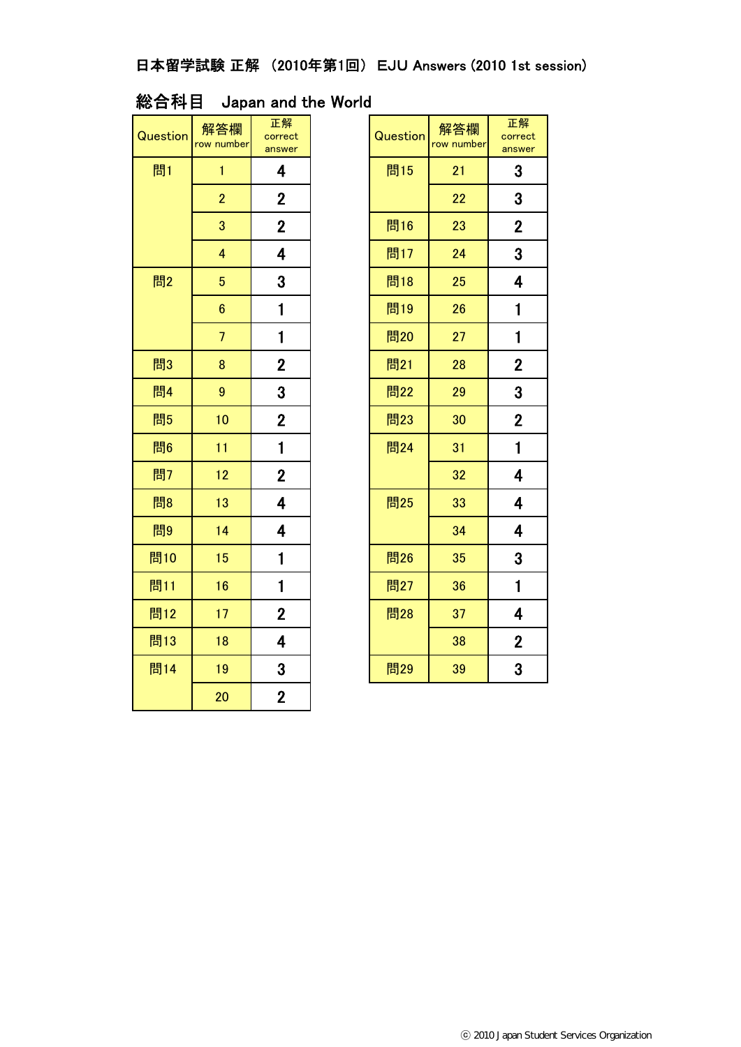## 日本留学試験 正解 (2010年第1回) EJU Answers (2010 1st session)

### 総合科目 Japan and the World

| Question | 解答欄<br>row number       | 正解<br>correct<br>answer | Question | 解答欄<br>row number | 正<br>corr<br>ansv |
|----------|-------------------------|-------------------------|----------|-------------------|-------------------|
| 問1       | $\mathbf{1}$            | 4                       | 問15      | 21                | 3                 |
|          | $\overline{2}$          | $\overline{2}$          |          | 22                | 3                 |
|          | 3                       | $\mathbf{2}$            | 問16      | 23                | $\overline{2}$    |
|          | $\overline{\mathbf{4}}$ | $\overline{\mathbf{4}}$ | 問17      | 24                | 3                 |
| 問2       | $5\phantom{.}$          | 3                       | 問18      | 25                | 4                 |
|          | $6\phantom{a}$          | 1                       | 問19      | 26                | $\mathbf{1}$      |
|          | $\overline{7}$          | 1                       | 問20      | 27                | $\mathbf{1}$      |
| 問3       | 8                       | $\overline{2}$          | 問21      | 28                | $\overline{2}$    |
| 問4       | $\overline{9}$          | 3                       | 問22      | 29                | 3                 |
| 問5       | 10                      | $\overline{2}$          | 問23      | 30                | $\overline{2}$    |
| 問6       | 11                      | $\mathbf 1$             | 問24      | 31                | $\mathbf{1}$      |
| 問7       | 12                      | $\overline{2}$          |          | 32                | 4                 |
| 問8       | 13                      | 4                       | 問25      | 33                | 4                 |
| 問9       | 14                      | $\overline{\mathbf{4}}$ |          | 34                | 4                 |
| 問10      | 15                      | 1                       | 問26      | 35                | 3                 |
| 問11      | 16                      | $\mathbf 1$             | 問27      | 36                | $\mathbf{1}$      |
| 問12      | 17                      | $\overline{2}$          | 問28      | 37                | 4                 |
| 問13      | 18                      | 4                       |          | 38                | $\overline{2}$    |
| 問14      | 19                      | 3                       | 問29      | 39                | 3                 |
|          | 20                      | $\overline{2}$          |          |                   |                   |

| 答欄<br><b>umber</b> | 正解<br>correct<br>answer | Question | 解答欄<br>row number | 正解<br>correct<br>answer |
|--------------------|-------------------------|----------|-------------------|-------------------------|
| $\mathbf{1}$       | 4                       | 問15      | 21                | 3                       |
| $\overline{2}$     | $\overline{2}$          |          | 22                | 3                       |
| 3                  | $\overline{2}$          | 問16      | 23                | $\mathbf 2$             |
| 4                  | 4                       | 問17      | 24                | 3                       |
| 5                  | 3                       | 問18      | 25                | 4                       |
| 6                  | 1                       | 問19      | 26                | 1                       |
| $\overline{7}$     | 1                       | 問20      | 27                | 1                       |
| 8                  | $\mathbf 2$             | 問21      | 28                | $\mathbf{2}$            |
| 9                  | 3                       | 問22      | 29                | 3                       |
| $\overline{0}$     | $\overline{2}$          | 問23      | 30                | $\mathbf 2$             |
| $\overline{1}$     | $\mathbf 1$             | 問24      | 31                | $\mathbf{1}$            |
| 2                  | $\mathbf 2$             |          | 32                | 4                       |
| 13                 | 4                       | 問25      | 33                | 4                       |
| $\overline{14}$    | 4                       |          | 34                | 4                       |
| 15                 | $\mathbf 1$             | 問26      | 35                | 3                       |
| $\overline{6}$     | $\mathbf 1$             | 問27      | 36                | $\mathbf{1}$            |
| 17                 | $\overline{2}$          | 問28      | 37                | 4                       |
| 18                 | 4                       |          | 38                | $\mathbf{2}$            |
| 19                 | 3                       | 問29      | 39                | 3                       |